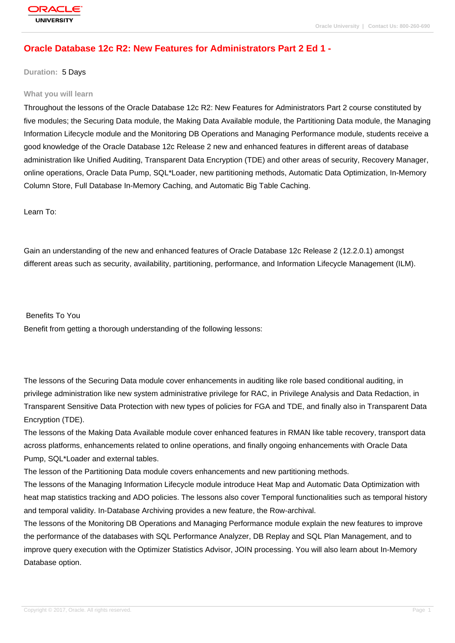## **[Oracle Databas](http://education.oracle.com/pls/web_prod-plq-dad/db_pages.getpage?page_id=3)e 12c R2: New Features for Administrators Part 2 Ed 1 -**

**Duration:** 5 Days

#### **What you will learn**

Throughout the lessons of the Oracle Database 12c R2: New Features for Administrators Part 2 course constituted by five modules; the Securing Data module, the Making Data Available module, the Partitioning Data module, the Managing Information Lifecycle module and the Monitoring DB Operations and Managing Performance module, students receive a good knowledge of the Oracle Database 12c Release 2 new and enhanced features in different areas of database administration like Unified Auditing, Transparent Data Encryption (TDE) and other areas of security, Recovery Manager, online operations, Oracle Data Pump, SQL\*Loader, new partitioning methods, Automatic Data Optimization, In-Memory Column Store, Full Database In-Memory Caching, and Automatic Big Table Caching.

Learn To:

Gain an understanding of the new and enhanced features of Oracle Database 12c Release 2 (12.2.0.1) amongst different areas such as security, availability, partitioning, performance, and Information Lifecycle Management (ILM).

Benefits To You

Benefit from getting a thorough understanding of the following lessons:

The lessons of the Securing Data module cover enhancements in auditing like role based conditional auditing, in privilege administration like new system administrative privilege for RAC, in Privilege Analysis and Data Redaction, in Transparent Sensitive Data Protection with new types of policies for FGA and TDE, and finally also in Transparent Data Encryption (TDE).

The lessons of the Making Data Available module cover enhanced features in RMAN like table recovery, transport data across platforms, enhancements related to online operations, and finally ongoing enhancements with Oracle Data Pump, SQL\*Loader and external tables.

The lesson of the Partitioning Data module covers enhancements and new partitioning methods.

The lessons of the Managing Information Lifecycle module introduce Heat Map and Automatic Data Optimization with heat map statistics tracking and ADO policies. The lessons also cover Temporal functionalities such as temporal history and temporal validity. In-Database Archiving provides a new feature, the Row-archival.

The lessons of the Monitoring DB Operations and Managing Performance module explain the new features to improve the performance of the databases with SQL Performance Analyzer, DB Replay and SQL Plan Management, and to improve query execution with the Optimizer Statistics Advisor, JOIN processing. You will also learn about In-Memory Database option.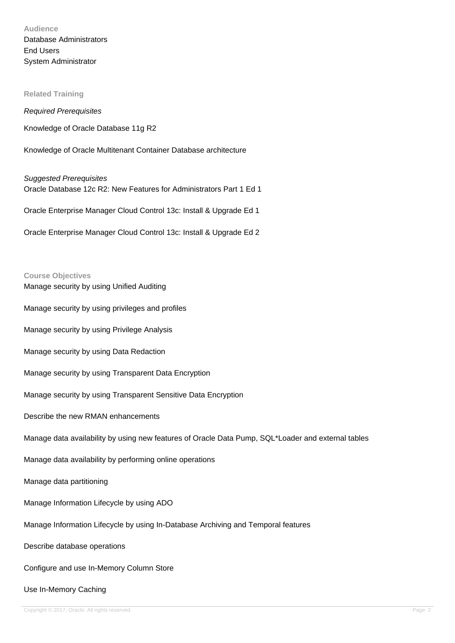# **Audience** Database Administrators End Users System Administrator

**Related Training**

Required Prerequisites

Knowledge of Oracle Database 11g R2

Knowledge of Oracle Multitenant Container Database architecture

Suggested Prerequisites Oracle Database 12c R2: New Features for Administrators Part 1 Ed 1

Oracle Enterprise Manager Cloud Control 13c: Install & Upgrade Ed 1

Oracle Enterprise Manager Cloud Control 13c: Install & Upgrade Ed 2

#### **Course Objectives**

Manage security by using Unified Auditing

Manage security by using privileges and profiles

Manage security by using Privilege Analysis

Manage security by using Data Redaction

Manage security by using Transparent Data Encryption

Manage security by using Transparent Sensitive Data Encryption

Describe the new RMAN enhancements

Manage data availability by using new features of Oracle Data Pump, SQL\*Loader and external tables

Manage data availability by performing online operations

Manage data partitioning

Manage Information Lifecycle by using ADO

Manage Information Lifecycle by using In-Database Archiving and Temporal features

Describe database operations

Configure and use In-Memory Column Store

#### Use In-Memory Caching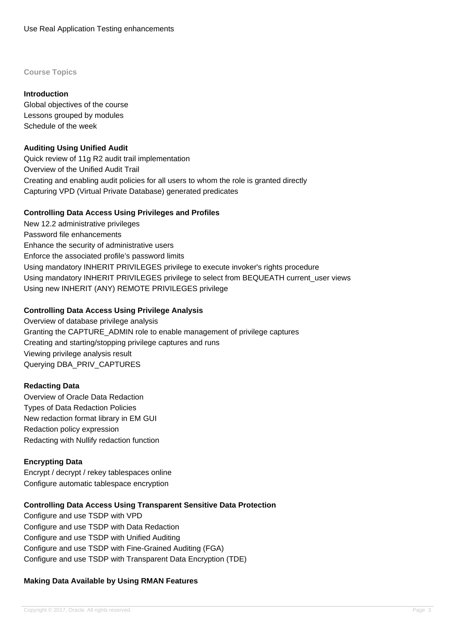#### **Course Topics**

### **Introduction**

Global objectives of the course Lessons grouped by modules Schedule of the week

### **Auditing Using Unified Audit**

Quick review of 11g R2 audit trail implementation Overview of the Unified Audit Trail Creating and enabling audit policies for all users to whom the role is granted directly Capturing VPD (Virtual Private Database) generated predicates

### **Controlling Data Access Using Privileges and Profiles**

New 12.2 administrative privileges Password file enhancements Enhance the security of administrative users Enforce the associated profile's password limits Using mandatory INHERIT PRIVILEGES privilege to execute invoker's rights procedure Using mandatory INHERIT PRIVILEGES privilege to select from BEQUEATH current\_user views Using new INHERIT (ANY) REMOTE PRIVILEGES privilege

## **Controlling Data Access Using Privilege Analysis**

Overview of database privilege analysis Granting the CAPTURE\_ADMIN role to enable management of privilege captures Creating and starting/stopping privilege captures and runs Viewing privilege analysis result Querying DBA\_PRIV\_CAPTURES

## **Redacting Data**

Overview of Oracle Data Redaction Types of Data Redaction Policies New redaction format library in EM GUI Redaction policy expression Redacting with Nullify redaction function

## **Encrypting Data**

Encrypt / decrypt / rekey tablespaces online Configure automatic tablespace encryption

## **Controlling Data Access Using Transparent Sensitive Data Protection**

Configure and use TSDP with VPD Configure and use TSDP with Data Redaction Configure and use TSDP with Unified Auditing Configure and use TSDP with Fine-Grained Auditing (FGA) Configure and use TSDP with Transparent Data Encryption (TDE)

## **Making Data Available by Using RMAN Features**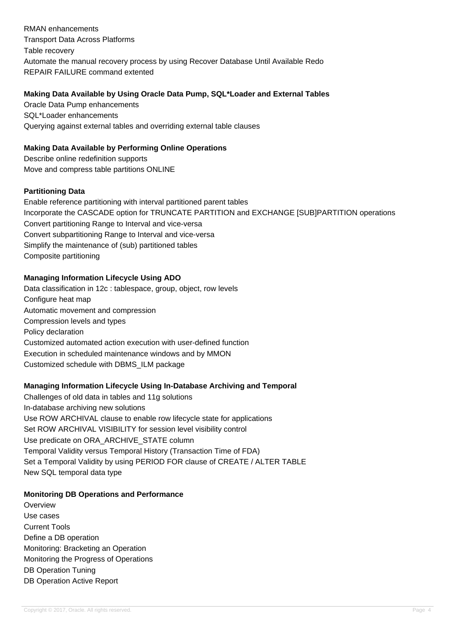RMAN enhancements Transport Data Across Platforms Table recovery Automate the manual recovery process by using Recover Database Until Available Redo REPAIR FAILURE command extented

## **Making Data Available by Using Oracle Data Pump, SQL\*Loader and External Tables**

Oracle Data Pump enhancements SQL\*Loader enhancements Querying against external tables and overriding external table clauses

## **Making Data Available by Performing Online Operations**

Describe online redefinition supports Move and compress table partitions ONLINE

### **Partitioning Data**

Enable reference partitioning with interval partitioned parent tables Incorporate the CASCADE option for TRUNCATE PARTITION and EXCHANGE [SUB]PARTITION operations Convert partitioning Range to Interval and vice-versa Convert subpartitioning Range to Interval and vice-versa Simplify the maintenance of (sub) partitioned tables Composite partitioning

## **Managing Information Lifecycle Using ADO**

Data classification in 12c : tablespace, group, object, row levels Configure heat map Automatic movement and compression Compression levels and types Policy declaration Customized automated action execution with user-defined function Execution in scheduled maintenance windows and by MMON Customized schedule with DBMS\_ILM package

## **Managing Information Lifecycle Using In-Database Archiving and Temporal**

Challenges of old data in tables and 11g solutions In-database archiving new solutions Use ROW ARCHIVAL clause to enable row lifecycle state for applications Set ROW ARCHIVAL VISIBILITY for session level visibility control Use predicate on ORA\_ARCHIVE\_STATE column Temporal Validity versus Temporal History (Transaction Time of FDA) Set a Temporal Validity by using PERIOD FOR clause of CREATE / ALTER TABLE New SQL temporal data type

## **Monitoring DB Operations and Performance**

**Overview** Use cases Current Tools Define a DB operation Monitoring: Bracketing an Operation Monitoring the Progress of Operations DB Operation Tuning DB Operation Active Report